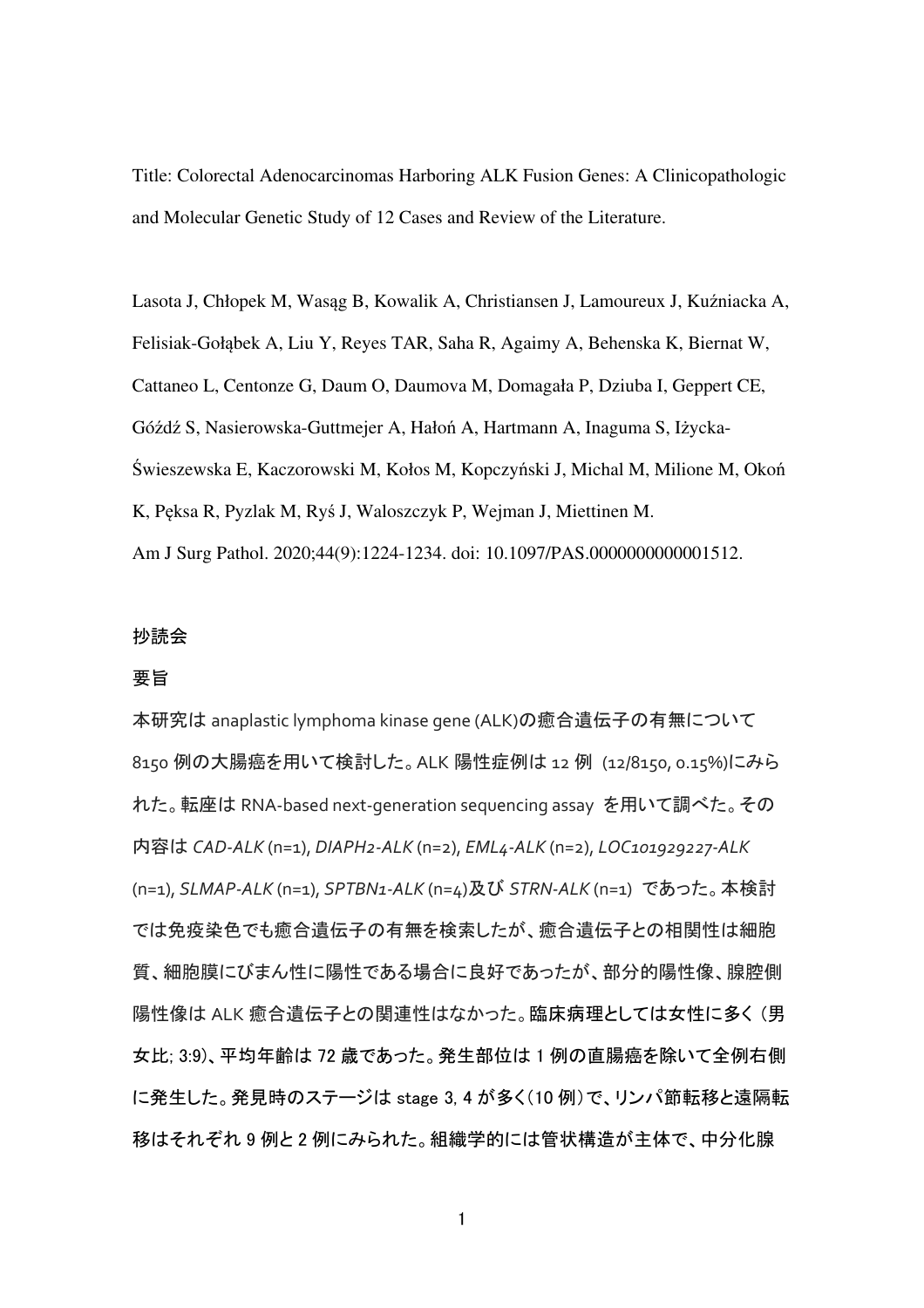Title: Colorectal Adenocarcinomas Harboring ALK Fusion Genes: A Clinicopathologic and Molecular Genetic Study of 12 Cases and Review of the Literature.

Lasota J, Chłopek M, Wasąg B, Kowalik A, Christiansen J, Lamoureux J, Kuźniacka A, Felisiak-Gołąbek A, Liu Y, Reyes TAR, Saha R, Agaimy A, Behenska K, Biernat W, Cattaneo L, Centonze G, Daum O, Daumova M, Domagała P, Dziuba I, Geppert CE, Góźdź S, Nasierowska-Guttmejer A, Hałoń A, Hartmann A, Inaguma S, Iżycka-Świeszewska E, Kaczorowski M, Kołos M, Kopczyński J, Michal M, Milione M, Okoń K, Pęksa R, Pyzlak M, Ryś J, Waloszczyk P, Wejman J, Miettinen M. Am J Surg Pathol. 2020;44(9):1224-1234. doi: 10.1097/PAS.0000000000001512.

### 抄読会

### 要旨

本研究は anaplastic lymphoma kinase gene (ALK)の癒合遺伝子の有無について 8150 例の大腸癌を用いて検討した。ALK 陽性症例は 12 例 (12/8150, 0.15%)にみら れた。転座は RNA-based next-generation sequencing assay を用いて調べた。その 内容は *CAD-ALK* (n=1), *DIAPH2-ALK* (n=2), *EML4-ALK* (n=2), *LOC101929227-ALK* (n=1), *SLMAP-ALK* (n=1), *SPTBN1-ALK* (n=4)及び *STRN-ALK* (n=1) であった。本検討 では免疫染色でも癒合遺伝子の有無を検索したが、癒合遺伝子との相関性は細胞 質、細胞膜にびまん性に陽性である場合に良好であったが、部分的陽性像、腺腔側 陽性像は ALK 癒合遺伝子との関連性はなかった。臨床病理としては女性に多く (男 女比; 3:9)、平均年齢は 72 歳であった。発生部位は 1 例の直腸癌を除いて全例右側 に発生した。発見時のステージは stage 3, 4 が多く(10 例)で、リンパ節転移と遠隔転 移はそれぞれ 9 例と 2 例にみられた。組織学的には管状構造が主体で、中分化腺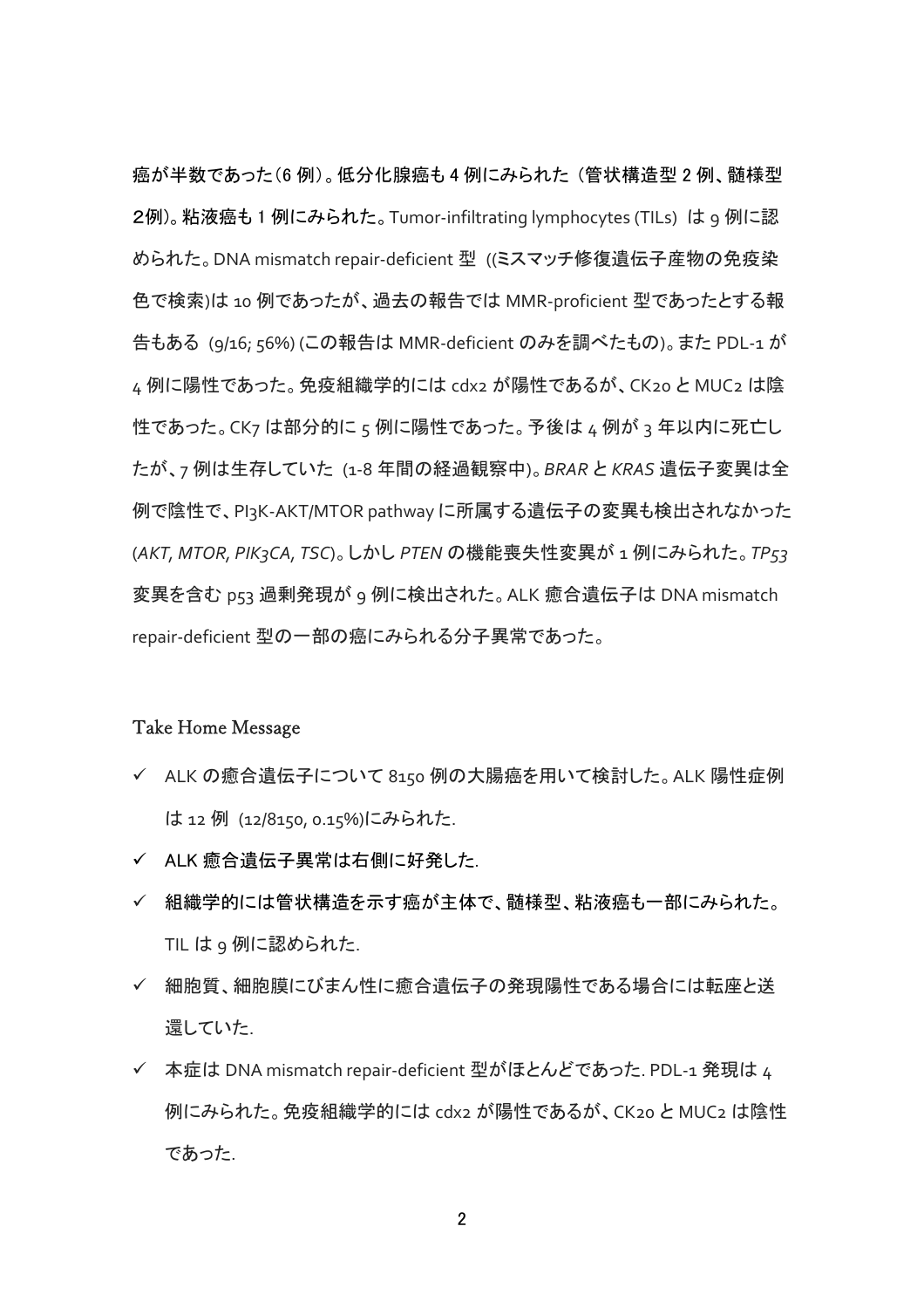癌が半数であった(6 例)。低分化腺癌も 4 例にみられた (管状構造型 2 例、髄様型 2例)。粘液癌も 1 例にみられた。Tumor-infiltrating lymphocytes (TILs) は 9 例に認 められた。DNA mismatch repair-deficient 型 ((ミスマッチ修復遺伝子産物の免疫染 色で検索)は 10 例であったが、過去の報告では MMR-proficient 型であったとする報 告もある (9/16; 56%) (この報告は MMR-deficient のみを調べたもの)。また PDL-1 が 4 例に陽性であった。免疫組織学的には cdx2 が陽性であるが、CK20 と MUC2 は陰 性であった。CK7 は部分的に 5 例に陽性であった。予後は 4 例が 3 年以内に死亡し たが、7 例は生存していた (1-8 年間の経過観察中)。*BRAR* と *KRAS* 遺伝子変異は全 例で陰性で、PI3K-AKT/MTOR pathway に所属する遺伝子の変異も検出されなかった (*AKT, MTOR, PIK3CA, TSC*)。しかし *PTEN* の機能喪失性変異が 1 例にみられた。*TP53* 変異を含む p53 過剰発現が 9 例に検出された。ALK 癒合遺伝子は DNA mismatch repair-deficient 型の一部の癌にみられる分子異常であった。

#### Take Home Message

- ALK の癒合遺伝子について 8150 例の大腸癌を用いて検討した。ALK 陽性症例 は 12 例 (12/8150, 0.15%)にみられた.
- ✔ ALK 癒合遺伝子異常は右側に好発した.
- 組織学的には管状構造を示す癌が主体で、髄様型、粘液癌も一部にみられた。 TIL は 9 例に認められた.
- ✔ 細胞質、細胞膜にびまん性に癒合遺伝子の発現陽性である場合には転座と送 還していた.
- ✔ 本症は DNA mismatch repair-deficient 型がほとんどであった. PDL-1 発現は 4 例にみられた。免疫組織学的には cdx2 が陽性であるが、CK20 と MUC2 は陰性 であった.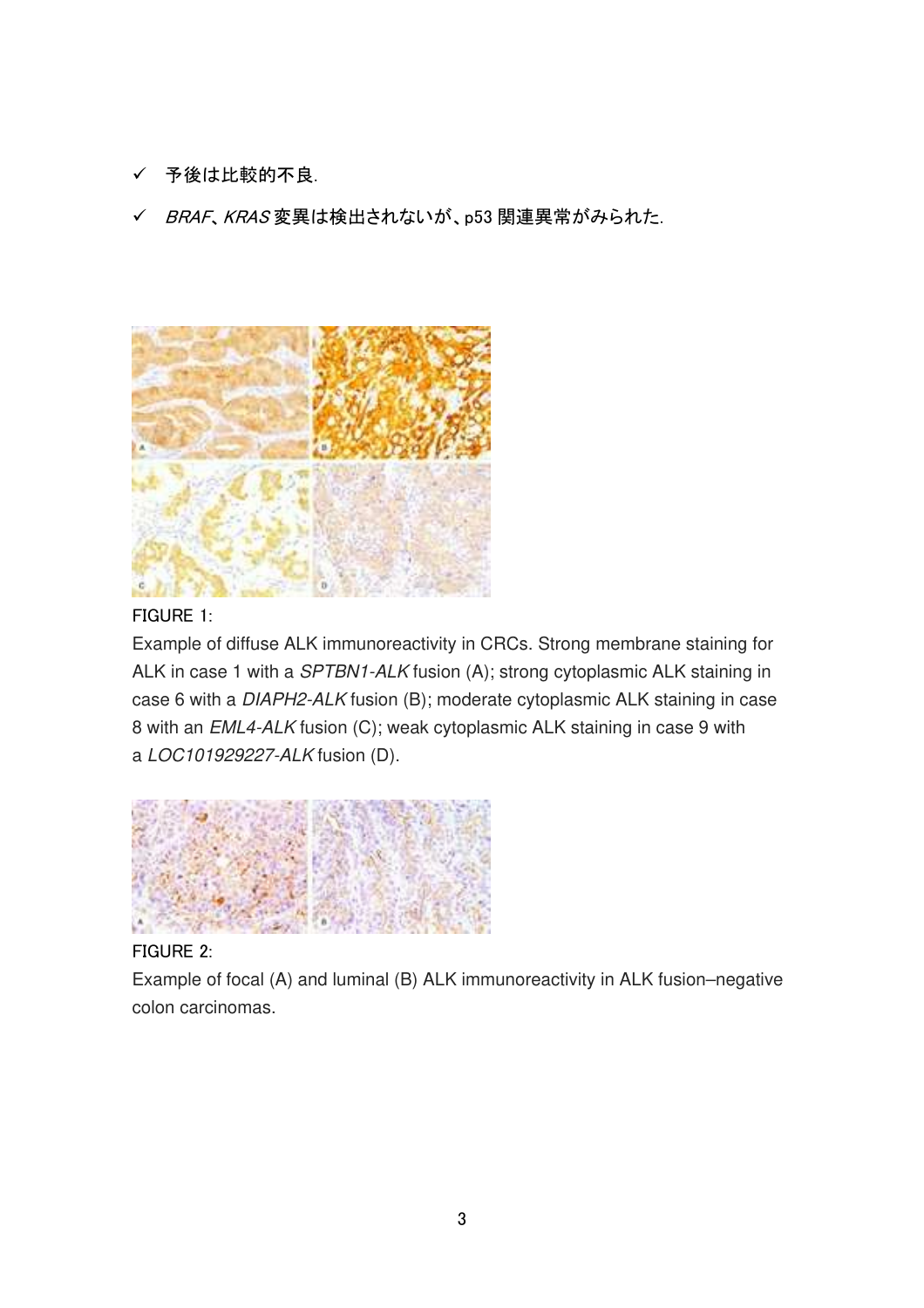- √ 予後は比較的不良.
- ✔ BRAF、KRAS 変異は検出されないが、p53 関連異常がみられた.



## FIGURE 1:

Example of diffuse ALK immunoreactivity in CRCs. Strong membrane staining for ALK in case 1 with a SPTBN1-ALK fusion (A); strong cytoplasmic ALK staining in case 6 with a DIAPH2-ALK fusion (B); moderate cytoplasmic ALK staining in case 8 with an EML4-ALK fusion (C); weak cytoplasmic ALK staining in case 9 with a LOC101929227-ALK fusion (D).



## FIGURE 2:

Example of focal (A) and luminal (B) ALK immunoreactivity in ALK fusion–negative colon carcinomas.